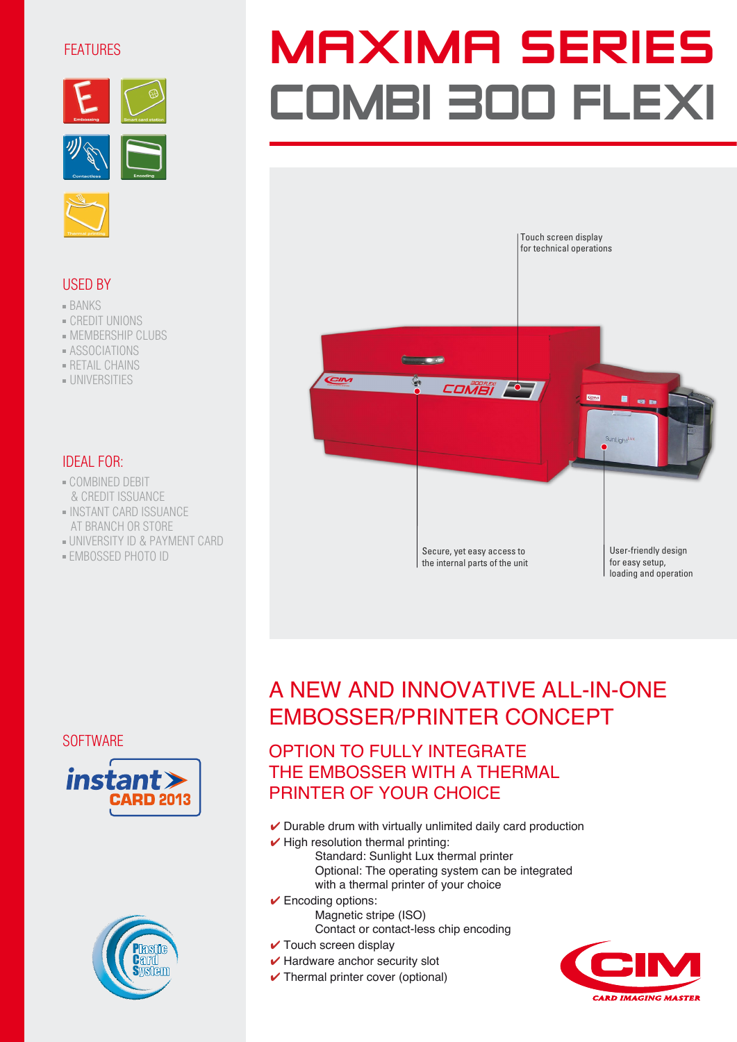# FEATURES







# USED BY

- BANKS
- CREDIT UNIONS
- MEMBERSHIP CLUBS
- ASSOCIATIONS
- RETAIL CHAINS
- UNIVERSITIES

# IDEAL FOR:

- COMBINED DEBIT & CREDIT ISSUANCE
- INSTANT CARD ISSUANCE AT BRANCH OR STORE
- UNIVERSITY ID & PAYMENT CARD
- EMBOSSED PHOTO ID

# **MAXIMA SERIES** COMBI 300 FLEXI



# A NEW AND INNOVATIVE ALL-IN-ONE EMBOSSER/PRINTER CONCEPT

# OPTION TO FULLY INTEGRATE THE EMBOSSER WITH A THERMAL PRINTER OF YOUR CHOICE

- $\vee$  Durable drum with virtually unlimited daily card production
- $\checkmark$  High resolution thermal printing: Standard: Sunlight Lux thermal printer Optional: The operating system can be integrated with a thermal printer of your choice
- ✔ Encoding options:

Magnetic stripe (ISO) Contact or contact-less chip encoding

- $\checkmark$  Touch screen display
- $\vee$  Hardware anchor security slot
- **✓** Thermal printer cover (optional)



**SOFTWARE**